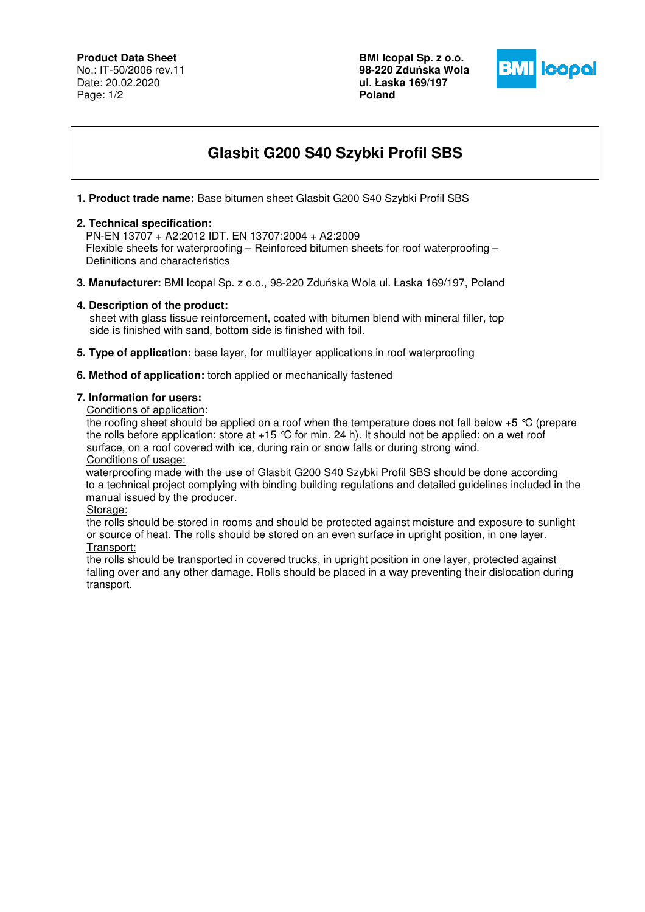# **Product Data Sheet**

No.: IT-50/2006 rev.11 Date: 20.02.2020 Page: 1/2

**BMI Icopal Sp. z o.o. 98-220 Zdu**ń**ska Wola ul. Łaska 169/197 Poland** 



# **Glasbit G200 S40 Szybki Profil SBS**

# **1. Product trade name:** Base bitumen sheet Glasbit G200 S40 Szybki Profil SBS

### **2. Technical specification:**

 PN-EN 13707 + A2:2012 IDT. EN 13707:2004 + A2:2009 Flexible sheets for waterproofing – Reinforced bitumen sheets for roof waterproofing – Definitions and characteristics

**3. Manufacturer:** BMI Icopal Sp. z o.o., 98-220 Zduńska Wola ul. Łaska 169/197, Poland

## **4. Description of the product:**

 sheet with glass tissue reinforcement, coated with bitumen blend with mineral filler, top side is finished with sand, bottom side is finished with foil.

**5. Type of application:** base layer, for multilayer applications in roof waterproofing

#### **6. Method of application:** torch applied or mechanically fastened

#### **7. Information for users:**

Conditions of application:

the roofing sheet should be applied on a roof when the temperature does not fall below +5 °C (prepare the rolls before application: store at  $+15$  °C for min. 24 h). It should not be applied: on a wet roof surface, on a roof covered with ice, during rain or snow falls or during strong wind. Conditions of usage:

 waterproofing made with the use of Glasbit G200 S40 Szybki Profil SBS should be done according to a technical project complying with binding building regulations and detailed guidelines included in the manual issued by the producer.

Storage:

the rolls should be stored in rooms and should be protected against moisture and exposure to sunlight or source of heat. The rolls should be stored on an even surface in upright position, in one layer. Transport:

the rolls should be transported in covered trucks, in upright position in one layer, protected against falling over and any other damage. Rolls should be placed in a way preventing their dislocation during transport.